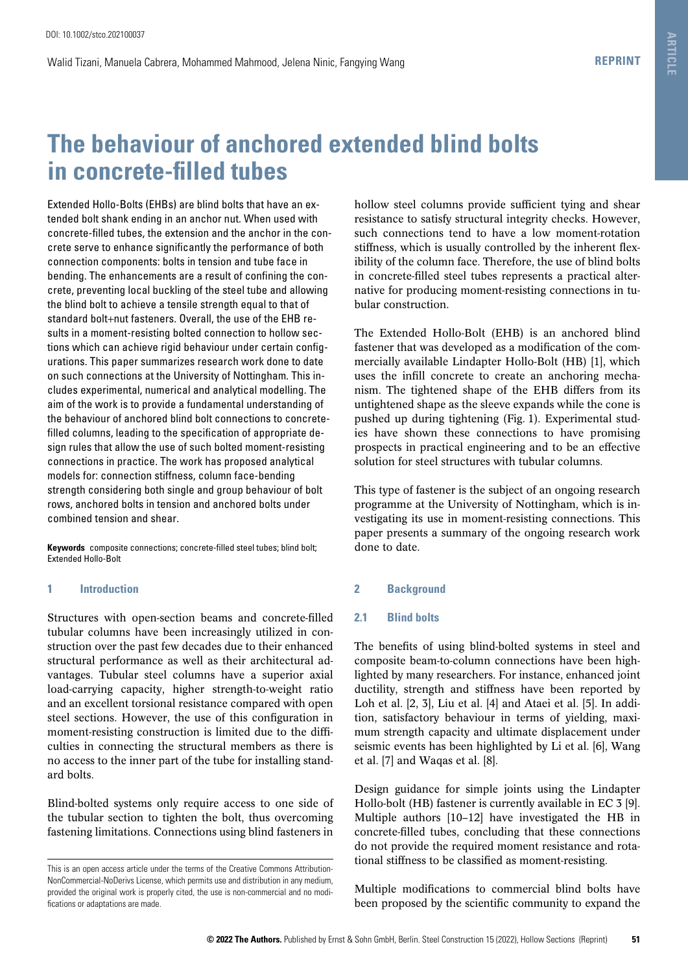# **The behaviour of anchored extended blind bolts in concrete-filled tubes**

Extended Hollo-Bolts (EHBs) are blind bolts that have an extended bolt shank ending in an anchor nut. When used with concrete-filled tubes, the extension and the anchor in the concrete serve to enhance significantly the performance of both connection components: bolts in tension and tube face in bending. The enhancements are a result of confining the concrete, preventing local buckling of the steel tube and allowing the blind bolt to achieve a tensile strength equal to that of standard bolt+nut fasteners. Overall, the use of the EHB results in a moment-resisting bolted connection to hollow sections which can achieve rigid behaviour under certain configurations. This paper summarizes research work done to date on such connections at the University of Nottingham. This includes experimental, numerical and analytical modelling. The aim of the work is to provide a fundamental understanding of the behaviour of anchored blind bolt connections to concretefilled columns, leading to the specification of appropriate design rules that allow the use of such bolted moment-resisting connections in practice. The work has proposed analytical models for: connection stiffness, column face-bending strength considering both single and group behaviour of bolt rows, anchored bolts in tension and anchored bolts under combined tension and shear.

**Keywords** composite connections; concrete-filled steel tubes; blind bolt; Extended Hollo-Bolt

# **1 Introduction**

Structures with open-section beams and concrete-filled tubular columns have been increasingly utilized in construction over the past few decades due to their enhanced structural performance as well as their architectural advantages. Tubular steel columns have a superior axial load-carrying capacity, higher strength-to-weight ratio and an excellent torsional resistance compared with open steel sections. However, the use of this configuration in moment-resisting construction is limited due to the difficulties in connecting the structural members as there is no access to the inner part of the tube for installing standard bolts.

Blind-bolted systems only require access to one side of the tubular section to tighten the bolt, thus overcoming fastening limitations. Connections using blind fasteners in

hollow steel columns provide sufficient tying and shear resistance to satisfy structural integrity checks. However, such connections tend to have a low moment-rotation stiffness, which is usually controlled by the inherent flexibility of the column face. Therefore, the use of blind bolts in concrete-filled steel tubes represents a practical alternative for producing moment-resisting connections in tubular construction.

The Extended Hollo-Bolt (EHB) is an anchored blind fastener that was developed as a modification of the commercially available Lindapter Hollo-Bolt (HB) [1], which uses the infill concrete to create an anchoring mechanism. The tightened shape of the EHB differs from its untightened shape as the sleeve expands while the cone is pushed up during tightening (Fig. 1). Experimental studies have shown these connections to have promising prospects in practical engineering and to be an effective solution for steel structures with tubular columns.

This type of fastener is the subject of an ongoing research programme at the University of Nottingham, which is investigating its use in moment-resisting connections. This paper presents a summary of the ongoing research work done to date.

# **2 Background**

# **2.1 Blind bolts**

The benefits of using blind-bolted systems in steel and composite beam-to-column connections have been highlighted by many researchers. For instance, enhanced joint ductility, strength and stiffness have been reported by Loh et al. [2, 3], Liu et al. [4] and Ataei et al. [5]. In addition, satisfactory behaviour in terms of yielding, maximum strength capacity and ultimate displacement under seismic events has been highlighted by Li et al. [6], Wang et al. [7] and Waqas et al. [8].

Design guidance for simple joints using the Lindapter Hollo-bolt (HB) fastener is currently available in EC 3 [9]. Multiple authors [10–12] have investigated the HB in concrete-filled tubes, concluding that these connections do not provide the required moment resistance and rotational stiffness to be classified as moment-resisting.

Multiple modifications to commercial blind bolts have been proposed by the scientific community to expand the

This is an open access article under the terms of the Creative Commons Attribution-NonCommercial-NoDerivs License, which permits use and distribution in any medium, provided the original work is properly cited, the use is non-commercial and no modifications or adaptations are made.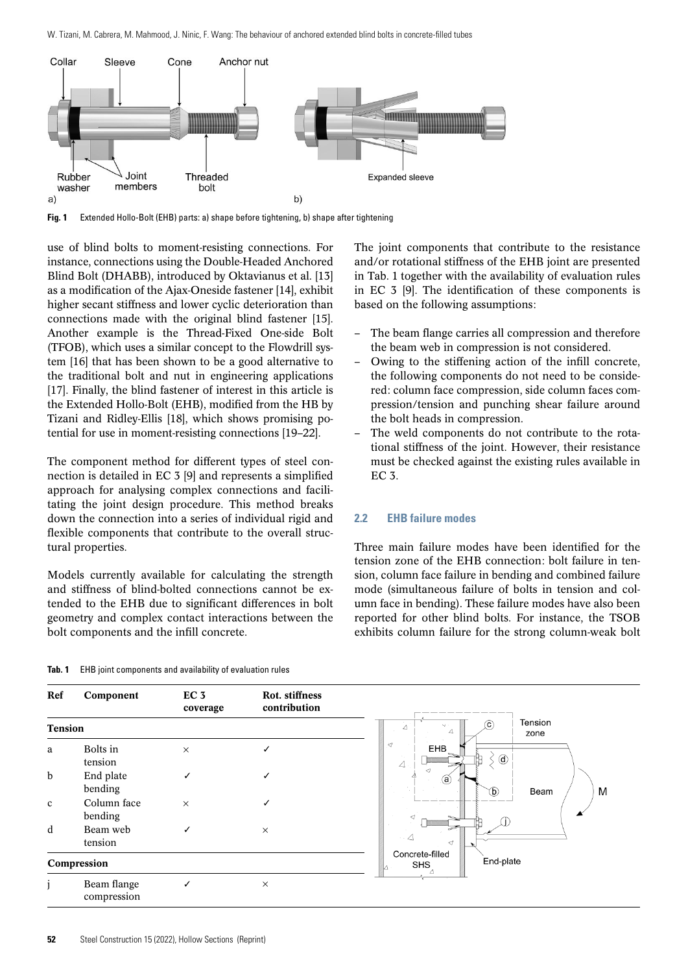W. Tizani, M. Cabrera, M. Mahmood, J. Ninic, F. Wang: The behaviour of anchored extended blind bolts in concrete-filled tubes



**Fig. 1** Extended Hollo-Bolt (EHB) parts: a) shape before tightening, b) shape after tightening

use of blind bolts to moment-resisting connections. For instance, connections using the Double-Headed Anchored Blind Bolt (DHABB), introduced by Oktavianus et al. [13] as a modification of the Ajax-Oneside fastener [14], exhibit higher secant stiffness and lower cyclic deterioration than connections made with the original blind fastener [15]. Another example is the Thread-Fixed One-side Bolt (TFOB), which uses a similar concept to the Flowdrill system [16] that has been shown to be a good alternative to the traditional bolt and nut in engineering applications [17]. Finally, the blind fastener of interest in this article is the Extended Hollo-Bolt (EHB), modified from the HB by Tizani and Ridley-Ellis [18], which shows promising potential for use in moment-resisting connections [19–22].

The component method for different types of steel connection is detailed in EC 3 [9] and represents a simplified approach for analysing complex connections and facilitating the joint design procedure. This method breaks down the connection into a series of individual rigid and flexible components that contribute to the overall structural properties.

Models currently available for calculating the strength and stiffness of blind-bolted connections cannot be extended to the EHB due to significant differences in bolt geometry and complex contact interactions between the bolt components and the infill concrete.

The joint components that contribute to the resistance and/or rotational stiffness of the EHB joint are presented in Tab. 1 together with the availability of evaluation rules in EC 3 [9]. The identification of these components is based on the following assumptions:

- The beam flange carries all compression and therefore the beam web in compression is not considered.
- Owing to the stiffening action of the infill concrete, the following components do not need to be considered: column face compression, side column faces compression/tension and punching shear failure around the bolt heads in compression.
- The weld components do not contribute to the rotational stiffness of the joint. However, their resistance must be checked against the existing rules available in EC 3.

# **2.2 EHB failure modes**

Three main failure modes have been identified for the tension zone of the EHB connection: bolt failure in tension, column face failure in bending and combined failure mode (simultaneous failure of bolts in tension and column face in bending). These failure modes have also been reported for other blind bolts. For instance, the TSOB exhibits column failure for the strong column-weak bolt

|  |  |  | <b>Tab. 1</b> EHB joint components and availability of evaluation rules |  |  |  |  |  |  |  |
|--|--|--|-------------------------------------------------------------------------|--|--|--|--|--|--|--|
|--|--|--|-------------------------------------------------------------------------|--|--|--|--|--|--|--|

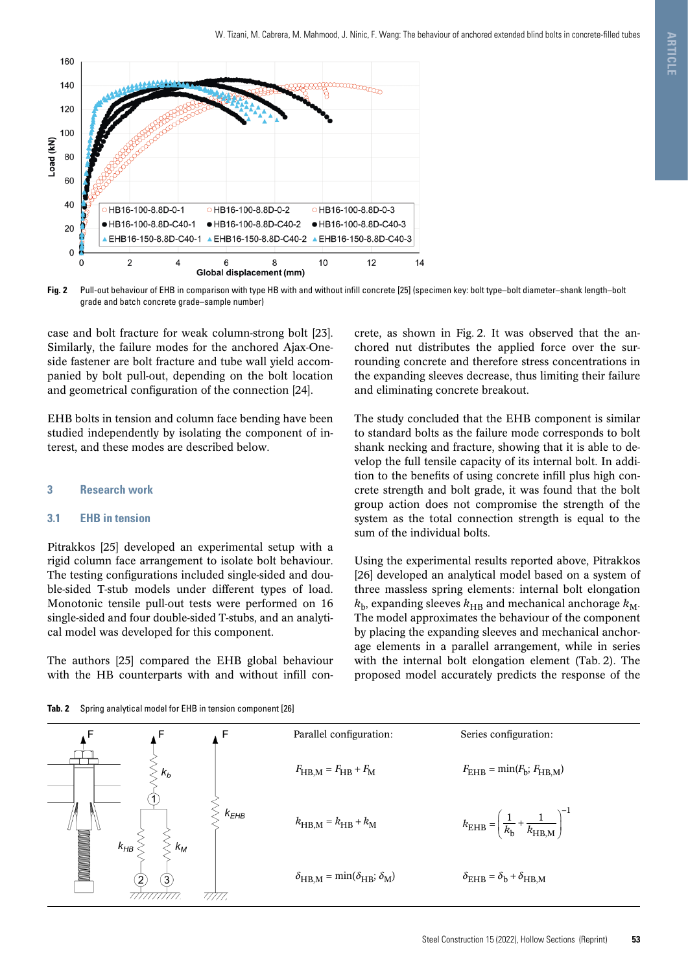

**Fig. 2** Pull-out behaviour of EHB in comparison with type HB with and without infill concrete [25] (specimen key: bolt type–bolt diameter–shank length–bolt grade and batch concrete grade–sample number)

case and bolt fracture for weak column-strong bolt [23]. Similarly, the failure modes for the anchored Ajax-Oneside fastener are bolt fracture and tube wall yield accompanied by bolt pull-out, depending on the bolt location and geometrical configuration of the connection [24].

EHB bolts in tension and column face bending have been studied independently by isolating the component of interest, and these modes are described below.

# **3 Research work**

## **3.1 EHB in tension**

Pitrakkos [25] developed an experimental setup with a rigid column face arrangement to isolate bolt behaviour. The testing configurations included single-sided and double-sided T-stub models under different types of load. Monotonic tensile pull-out tests were performed on 16 single-sided and four double-sided T-stubs, and an analytical model was developed for this component.

The authors [25] compared the EHB global behaviour with the HB counterparts with and without infill con-

crete, as shown in Fig. 2. It was observed that the anchored nut distributes the applied force over the surrounding concrete and therefore stress concentrations in the expanding sleeves decrease, thus limiting their failure and eliminating concrete breakout.

The study concluded that the EHB component is similar to standard bolts as the failure mode corresponds to bolt shank necking and fracture, showing that it is able to develop the full tensile capacity of its internal bolt. In addition to the benefits of using concrete infill plus high concrete strength and bolt grade, it was found that the bolt group action does not compromise the strength of the system as the total connection strength is equal to the sum of the individual bolts.

Using the experimental results reported above, Pitrakkos [26] developed an analytical model based on a system of three massless spring elements: internal bolt elongation  $k_{\rm b}$ , expanding sleeves  $k_{\rm HB}$  and mechanical anchorage  $k_{\rm M}$ . The model approximates the behaviour of the component by placing the expanding sleeves and mechanical anchorage elements in a parallel arrangement, while in series with the internal bolt elongation element (Tab. 2). The proposed model accurately predicts the response of the

**Tab. 2** Spring analytical model for EHB in tension component [26]

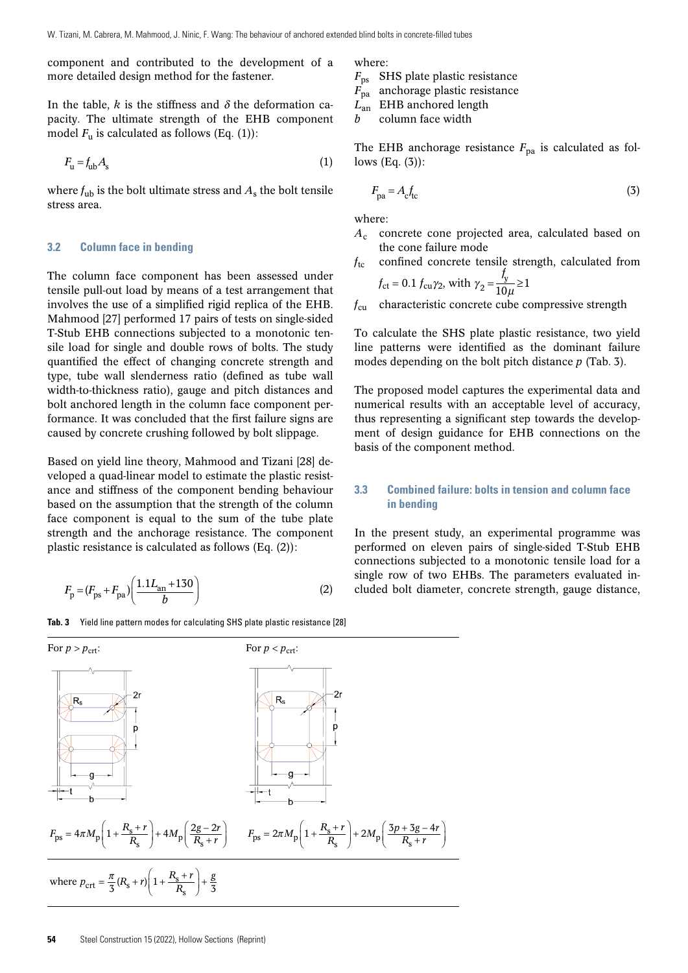component and contributed to the development of a more detailed design method for the fastener.

In the table,  $k$  is the stiffness and  $\delta$  the deformation capacity. The ultimate strength of the EHB component model  $F_u$  is calculated as follows (Eq. (1)):

$$
F_{\rm u} = f_{\rm ub} A_{\rm s} \tag{1}
$$

where  $f_{\text{ub}}$  is the bolt ultimate stress and  $A_{\text{s}}$  the bolt tensile stress area.

# **3.2 Column face in bending**

The column face component has been assessed under tensile pull-out load by means of a test arrangement that involves the use of a simplified rigid replica of the EHB. Mahmood [27] performed 17 pairs of tests on single-sided T-Stub EHB connections subjected to a monotonic tensile load for single and double rows of bolts. The study quantified the effect of changing concrete strength and type, tube wall slenderness ratio (defined as tube wall width-to-thickness ratio), gauge and pitch distances and bolt anchored length in the column face component performance. It was concluded that the first failure signs are caused by concrete crushing followed by bolt slippage.

Based on yield line theory, Mahmood and Tizani [28] developed a quad-linear model to estimate the plastic resistance and stiffness of the component bending behaviour based on the assumption that the strength of the column face component is equal to the sum of the tube plate strength and the anchorage resistance. The component plastic resistance is calculated as follows (Eq. (2)):

$$
F_{\rm p} = (F_{\rm ps} + F_{\rm pa}) \left( \frac{1.1L_{\rm an} + 130}{b} \right) \tag{2}
$$

**Tab. 3** Yield line pattern modes for calculating SHS plate plastic resistance [28]



where:

- *F*ps SHS plate plastic resistance
- *F*pa anchorage plastic resistance

*L*an EHB anchored length

*b* column face width

The EHB anchorage resistance  $F_{pa}$  is calculated as follows (Eq. (3)):

$$
F_{\text{pa}} = A_{\text{c}} f_{\text{tc}} \tag{3}
$$

where:

- *A*<sup>c</sup> concrete cone projected area, calculated based on the cone failure mode
- $f_{\text{tc}}$  confined concrete tensile strength, calculated from  $f_{\rm ct} = 0.1 f_{\rm cu} \gamma_2$ , with  $\gamma_2 = \frac{f_y}{10 \mu} \ge 1$  $\gamma_2 = \frac{y}{10\mu} \ge$

*f*<sub>cu</sub> characteristic concrete cube compressive strength

To calculate the SHS plate plastic resistance, two yield line patterns were identified as the dominant failure modes depending on the bolt pitch distance *p* (Tab. 3).

The proposed model captures the experimental data and numerical results with an acceptable level of accuracy, thus representing a significant step towards the development of design guidance for EHB connections on the basis of the component method.

# **3.3 Combined failure: bolts in tension and column face in bending**

In the present study, an experimental programme was performed on eleven pairs of single-sided T-Stub EHB connections subjected to a monotonic tensile load for a single row of two EHBs. The parameters evaluated included bolt diameter, concrete strength, gauge distance,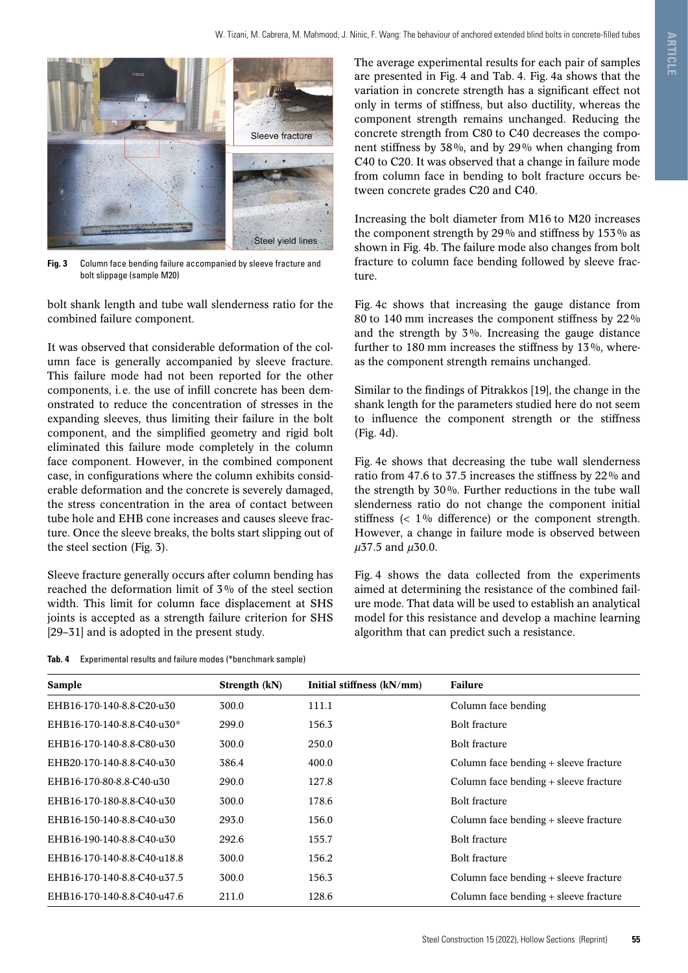

**Fig. 3** Column face bending failure accompanied by sleeve fracture and bolt slippage (sample M20)

bolt shank length and tube wall slenderness ratio for the combined failure component.

It was observed that considerable deformation of the column face is generally accompanied by sleeve fracture. This failure mode had not been reported for the other components, i. e. the use of infill concrete has been demonstrated to reduce the concentration of stresses in the expanding sleeves, thus limiting their failure in the bolt component, and the simplified geometry and rigid bolt eliminated this failure mode completely in the column face component. However, in the combined component case, in configurations where the column exhibits considerable deformation and the concrete is severely damaged, the stress concentration in the area of contact between tube hole and EHB cone increases and causes sleeve fracture. Once the sleeve breaks, the bolts start slipping out of the steel section (Fig. 3).

Sleeve fracture generally occurs after column bending has reached the deformation limit of 3% of the steel section width. This limit for column face displacement at SHS joints is accepted as a strength failure criterion for SHS [29–31] and is adopted in the present study.

**Tab. 4** Experimental results and failure modes (\*benchmark sample)

The average experimental results for each pair of samples are presented in Fig. 4 and Tab. 4. Fig. 4a shows that the variation in concrete strength has a significant effect not only in terms of stiffness, but also ductility, whereas the component strength remains unchanged. Reducing the concrete strength from C80 to C40 decreases the component stiffness by 38%, and by 29% when changing from C40 to C20. It was observed that a change in failure mode from column face in bending to bolt fracture occurs between concrete grades C20 and C40.

Increasing the bolt diameter from M16 to M20 increases the component strength by 29% and stiffness by 153% as shown in Fig. 4b. The failure mode also changes from bolt fracture to column face bending followed by sleeve fracture.

Fig. 4c shows that increasing the gauge distance from 80 to 140 mm increases the component stiffness by 22% and the strength by 3%. Increasing the gauge distance further to 180 mm increases the stiffness by 13%, whereas the component strength remains unchanged.

Similar to the findings of Pitrakkos [19], the change in the shank length for the parameters studied here do not seem to influence the component strength or the stiffness (Fig. 4d).

Fig. 4e shows that decreasing the tube wall slenderness ratio from 47.6 to 37.5 increases the stiffness by 22% and the strength by 30%. Further reductions in the tube wall slenderness ratio do not change the component initial stiffness  $\langle$  1% difference) or the component strength. However, a change in failure mode is observed between  $\mu$ 37.5 and  $\mu$ 30.0.

Fig. 4 shows the data collected from the experiments aimed at determining the resistance of the combined failure mode. That data will be used to establish an analytical model for this resistance and develop a machine learning algorithm that can predict such a resistance.

| Strength (kN) | Initial stiffness (kN/mm) | <b>Failure</b>                        |
|---------------|---------------------------|---------------------------------------|
| 300.0         | 111.1                     | Column face bending                   |
| 299.0         | 156.3                     | <b>Bolt fracture</b>                  |
| 300.0         | 250.0                     | <b>Bolt fracture</b>                  |
| 386.4         | 400.0                     | Column face bending + sleeve fracture |
| 290.0         | 127.8                     | Column face bending + sleeve fracture |
| 300.0         | 178.6                     | <b>Bolt fracture</b>                  |
| 293.0         | 156.0                     | Column face bending + sleeve fracture |
| 292.6         | 155.7                     | <b>Bolt fracture</b>                  |
| 300.0         | 156.2                     | <b>Bolt fracture</b>                  |
| 300.0         | 156.3                     | Column face bending + sleeve fracture |
| 211.0         | 128.6                     | Column face bending + sleeve fracture |
|               |                           |                                       |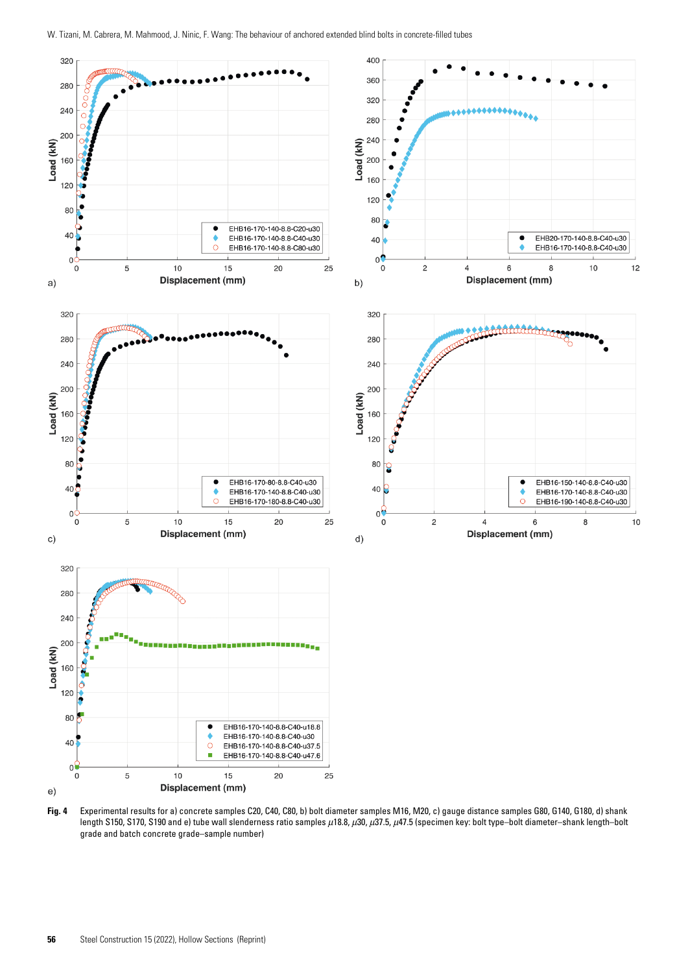

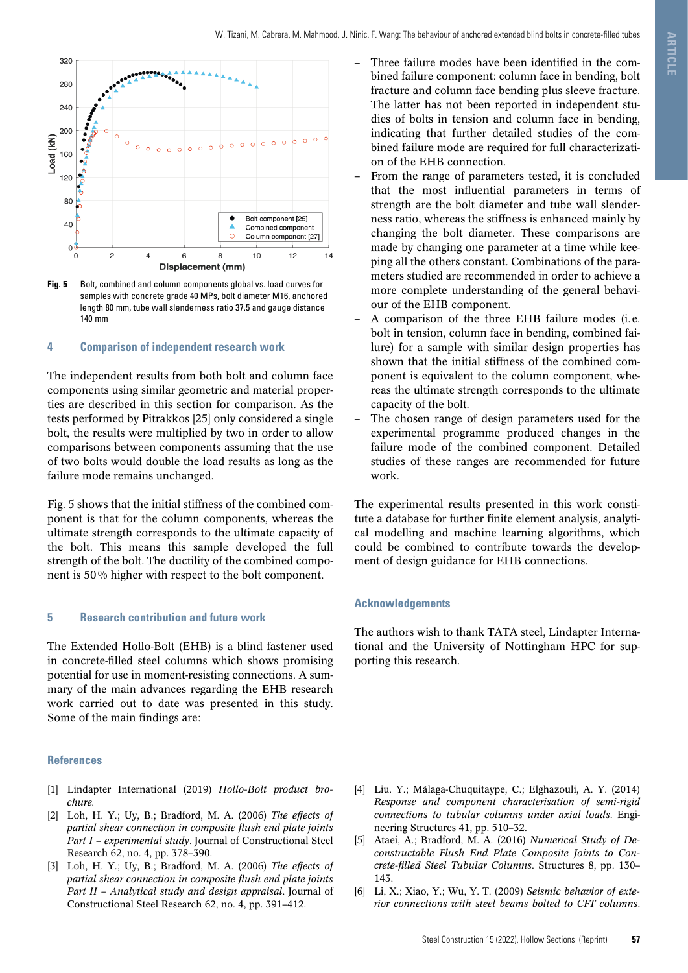

**Fig. 5** Bolt, combined and column components global vs. load curves for samples with concrete grade 40 MPs, bolt diameter M16, anchored length 80 mm, tube wall slenderness ratio 37.5 and gauge distance 140 mm

# **4 Comparison of independent research work**

The independent results from both bolt and column face components using similar geometric and material properties are described in this section for comparison. As the tests performed by Pitrakkos [25] only considered a single bolt, the results were multiplied by two in order to allow comparisons between components assuming that the use of two bolts would double the load results as long as the failure mode remains unchanged.

Fig. 5 shows that the initial stiffness of the combined component is that for the column components, whereas the ultimate strength corresponds to the ultimate capacity of the bolt. This means this sample developed the full strength of the bolt. The ductility of the combined component is 50% higher with respect to the bolt component.

## **5 Research contribution and future work**

The Extended Hollo-Bolt (EHB) is a blind fastener used in concrete-filled steel columns which shows promising potential for use in moment-resisting connections. A summary of the main advances regarding the EHB research work carried out to date was presented in this study. Some of the main findings are:

#### **References**

- [1] Lindapter International (2019) *Hollo-Bolt product brochure.*
- [2] Loh, H. Y.; Uy, B.; Bradford, M. A. (2006) *The effects of partial shear connection in composite flush end plate joints Part I – experimental study*. Journal of Constructional Steel Research 62, no. 4, pp. 378–390.
- [3] Loh, H. Y.; Uy, B.; Bradford, M. A. (2006) *The effects of partial shear connection in composite flush end plate joints Part II – Analytical study and design appraisal*. Journal of Constructional Steel Research 62, no. 4, pp. 391–412.
- Three failure modes have been identified in the combined failure component: column face in bending, bolt fracture and column face bending plus sleeve fracture. The latter has not been reported in independent studies of bolts in tension and column face in bending, indicating that further detailed studies of the combined failure mode are required for full characterization of the EHB connection.
- From the range of parameters tested, it is concluded that the most influential parameters in terms of strength are the bolt diameter and tube wall slenderness ratio, whereas the stiffness is enhanced mainly by changing the bolt diameter. These comparisons are made by changing one parameter at a time while keeping all the others constant. Combinations of the parameters studied are recommended in order to achieve a more complete understanding of the general behaviour of the EHB component.
- A comparison of the three EHB failure modes (i.e. bolt in tension, column face in bending, combined failure) for a sample with similar design properties has shown that the initial stiffness of the combined component is equivalent to the column component, whereas the ultimate strength corresponds to the ultimate capacity of the bolt.
- The chosen range of design parameters used for the experimental programme produced changes in the failure mode of the combined component. Detailed studies of these ranges are recommended for future work.

The experimental results presented in this work constitute a database for further finite element analysis, analytical modelling and machine learning algorithms, which could be combined to contribute towards the development of design guidance for EHB connections.

## **Acknowledgements**

The authors wish to thank TATA steel, Lindapter International and the University of Nottingham HPC for supporting this research.

- [4] Liu. Y.; Málaga-Chuquitaype, C.; Elghazouli, A. Y. (2014) *Response and component characterisation of semi-rigid connections to tubular columns under axial loads*. Engineering Structures 41, pp. 510–32.
- [5] Ataei, A.; Bradford, M. A. (2016) *Numerical Study of Deconstructable Flush End Plate Composite Joints to Concrete-filled Steel Tubular Columns*. Structures 8, pp. 130– 143.
- [6] Li, X.; Xiao, Y.; Wu, Y. T. (2009) *Seismic behavior of exterior connections with steel beams bolted to CFT columns*.